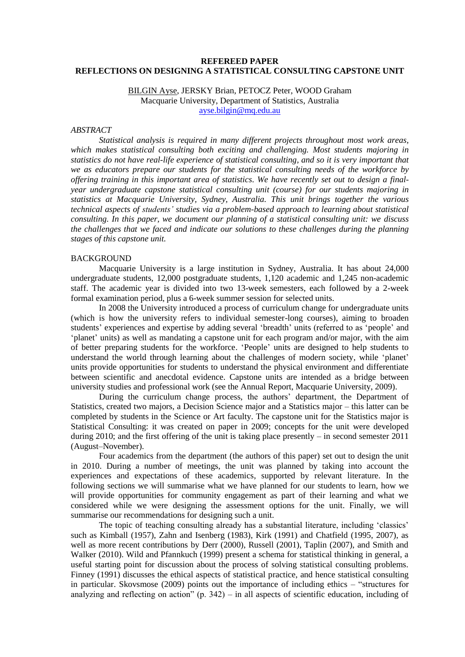## **REFEREED PAPER REFLECTIONS ON DESIGNING A STATISTICAL CONSULTING CAPSTONE UNIT**

# BILGIN Ayse, JERSKY Brian, PETOCZ Peter, WOOD Graham Macquarie University, Department of Statistics, Australia [ayse.bilgin@mq.edu.au](mailto:ayse.bilgin@mq.edu.au)

### *ABSTRACT*

*Statistical analysis is required in many different projects throughout most work areas, which makes statistical consulting both exciting and challenging. Most students majoring in statistics do not have real-life experience of statistical consulting, and so it is very important that we as educators prepare our students for the statistical consulting needs of the workforce by offering training in this important area of statistics. We have recently set out to design a finalyear undergraduate capstone statistical consulting unit (course) for our students majoring in statistics at Macquarie University, Sydney, Australia. This unit brings together the various technical aspects of students' studies via a problem-based approach to learning about statistical consulting. In this paper, we document our planning of a statistical consulting unit: we discuss the challenges that we faced and indicate our solutions to these challenges during the planning stages of this capstone unit.*

## BACKGROUND

Macquarie University is a large institution in Sydney, Australia. It has about 24,000 undergraduate students, 12,000 postgraduate students, 1,120 academic and 1,245 non-academic staff. The academic year is divided into two 13-week semesters, each followed by a 2-week formal examination period, plus a 6-week summer session for selected units.

In 2008 the University introduced a process of curriculum change for undergraduate units (which is how the university refers to individual semester-long courses), aiming to broaden students' experiences and expertise by adding several 'breadth' units (referred to as 'people' and "planet" units) as well as mandating a capstone unit for each program and/or major, with the aim of better preparing students for the workforce. "People" units are designed to help students to understand the world through learning about the challenges of modern society, while "planet" units provide opportunities for students to understand the physical environment and differentiate between scientific and anecdotal evidence. Capstone units are intended as a bridge between university studies and professional work (see the Annual Report, Macquarie University, 2009).

During the curriculum change process, the authors' department, the Department of Statistics, created two majors, a Decision Science major and a Statistics major – this latter can be completed by students in the Science or Art faculty. The capstone unit for the Statistics major is Statistical Consulting: it was created on paper in 2009; concepts for the unit were developed during 2010; and the first offering of the unit is taking place presently – in second semester 2011 (August–November).

Four academics from the department (the authors of this paper) set out to design the unit in 2010. During a number of meetings, the unit was planned by taking into account the experiences and expectations of these academics, supported by relevant literature. In the following sections we will summarise what we have planned for our students to learn, how we will provide opportunities for community engagement as part of their learning and what we considered while we were designing the assessment options for the unit. Finally, we will summarise our recommendations for designing such a unit.

The topic of teaching consulting already has a substantial literature, including 'classics' such as Kimball (1957), Zahn and Isenberg (1983), Kirk (1991) and Chatfield (1995, 2007), as well as more recent contributions by Derr (2000), Russell (2001), Taplin (2007), and Smith and Walker (2010). Wild and Pfannkuch (1999) present a schema for statistical thinking in general, a useful starting point for discussion about the process of solving statistical consulting problems. Finney (1991) discusses the ethical aspects of statistical practice, and hence statistical consulting in particular. Skovsmose (2009) points out the importance of including ethics – "structures for analyzing and reflecting on action" (p. 342) – in all aspects of scientific education, including of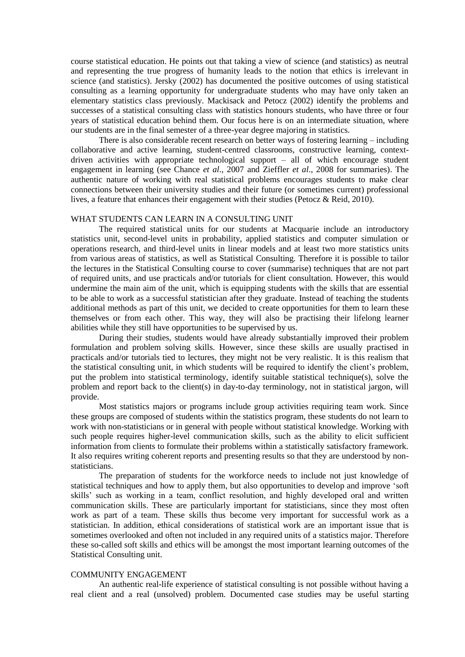course statistical education. He points out that taking a view of science (and statistics) as neutral and representing the true progress of humanity leads to the notion that ethics is irrelevant in science (and statistics). Jersky (2002) has documented the positive outcomes of using statistical consulting as a learning opportunity for undergraduate students who may have only taken an elementary statistics class previously. Mackisack and Petocz (2002) identify the problems and successes of a statistical consulting class with statistics honours students, who have three or four years of statistical education behind them. Our focus here is on an intermediate situation, where our students are in the final semester of a three-year degree majoring in statistics.

There is also considerable recent research on better ways of fostering learning – including collaborative and active learning, student-centred classrooms, constructive learning, contextdriven activities with appropriate technological support – all of which encourage student engagement in learning (see Chance *et al*., 2007 and Zieffler *et al*., 2008 for summaries). The authentic nature of working with real statistical problems encourages students to make clear connections between their university studies and their future (or sometimes current) professional lives, a feature that enhances their engagement with their studies (Petocz & Reid, 2010).

### WHAT STUDENTS CAN LEARN IN A CONSULTING UNIT

The required statistical units for our students at Macquarie include an introductory statistics unit, second-level units in probability, applied statistics and computer simulation or operations research, and third-level units in linear models and at least two more statistics units from various areas of statistics, as well as Statistical Consulting. Therefore it is possible to tailor the lectures in the Statistical Consulting course to cover (summarise) techniques that are not part of required units, and use practicals and/or tutorials for client consultation. However, this would undermine the main aim of the unit, which is equipping students with the skills that are essential to be able to work as a successful statistician after they graduate. Instead of teaching the students additional methods as part of this unit, we decided to create opportunities for them to learn these themselves or from each other. This way, they will also be practising their lifelong learner abilities while they still have opportunities to be supervised by us.

During their studies, students would have already substantially improved their problem formulation and problem solving skills. However, since these skills are usually practised in practicals and/or tutorials tied to lectures, they might not be very realistic. It is this realism that the statistical consulting unit, in which students will be required to identify the client"s problem, put the problem into statistical terminology, identify suitable statistical technique(s), solve the problem and report back to the client(s) in day-to-day terminology, not in statistical jargon, will provide.

Most statistics majors or programs include group activities requiring team work. Since these groups are composed of students within the statistics program, these students do not learn to work with non-statisticians or in general with people without statistical knowledge. Working with such people requires higher-level communication skills, such as the ability to elicit sufficient information from clients to formulate their problems within a statistically satisfactory framework. It also requires writing coherent reports and presenting results so that they are understood by nonstatisticians.

The preparation of students for the workforce needs to include not just knowledge of statistical techniques and how to apply them, but also opportunities to develop and improve "soft skills" such as working in a team, conflict resolution, and highly developed oral and written communication skills. These are particularly important for statisticians, since they most often work as part of a team. These skills thus become very important for successful work as a statistician. In addition, ethical considerations of statistical work are an important issue that is sometimes overlooked and often not included in any required units of a statistics major. Therefore these so-called soft skills and ethics will be amongst the most important learning outcomes of the Statistical Consulting unit.

### COMMUNITY ENGAGEMENT

An authentic real-life experience of statistical consulting is not possible without having a real client and a real (unsolved) problem. Documented case studies may be useful starting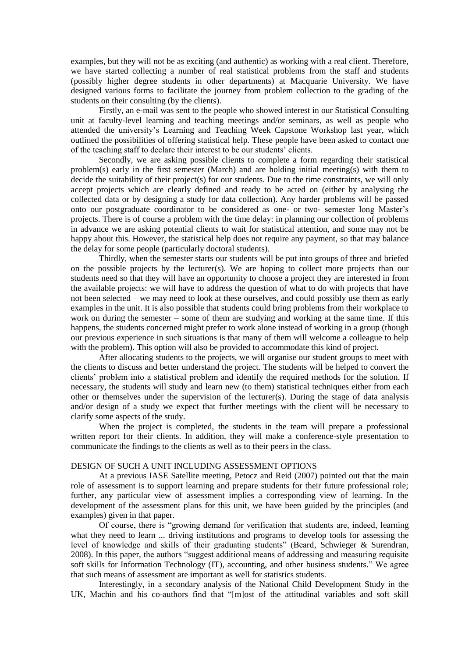examples, but they will not be as exciting (and authentic) as working with a real client. Therefore, we have started collecting a number of real statistical problems from the staff and students (possibly higher degree students in other departments) at Macquarie University. We have designed various forms to facilitate the journey from problem collection to the grading of the students on their consulting (by the clients).

Firstly, an e-mail was sent to the people who showed interest in our Statistical Consulting unit at faculty-level learning and teaching meetings and/or seminars, as well as people who attended the university"s Learning and Teaching Week Capstone Workshop last year, which outlined the possibilities of offering statistical help. These people have been asked to contact one of the teaching staff to declare their interest to be our students" clients.

Secondly, we are asking possible clients to complete a form regarding their statistical problem(s) early in the first semester (March) and are holding initial meeting(s) with them to decide the suitability of their project(s) for our students. Due to the time constraints, we will only accept projects which are clearly defined and ready to be acted on (either by analysing the collected data or by designing a study for data collection). Any harder problems will be passed onto our postgraduate coordinator to be considered as one- or two- semester long Master"s projects. There is of course a problem with the time delay: in planning our collection of problems in advance we are asking potential clients to wait for statistical attention, and some may not be happy about this. However, the statistical help does not require any payment, so that may balance the delay for some people (particularly doctoral students).

Thirdly, when the semester starts our students will be put into groups of three and briefed on the possible projects by the lecturer(s). We are hoping to collect more projects than our students need so that they will have an opportunity to choose a project they are interested in from the available projects: we will have to address the question of what to do with projects that have not been selected – we may need to look at these ourselves, and could possibly use them as early examples in the unit. It is also possible that students could bring problems from their workplace to work on during the semester – some of them are studying and working at the same time. If this happens, the students concerned might prefer to work alone instead of working in a group (though our previous experience in such situations is that many of them will welcome a colleague to help with the problem). This option will also be provided to accommodate this kind of project.

After allocating students to the projects, we will organise our student groups to meet with the clients to discuss and better understand the project. The students will be helped to convert the clients" problem into a statistical problem and identify the required methods for the solution. If necessary, the students will study and learn new (to them) statistical techniques either from each other or themselves under the supervision of the lecturer(s). During the stage of data analysis and/or design of a study we expect that further meetings with the client will be necessary to clarify some aspects of the study.

When the project is completed, the students in the team will prepare a professional written report for their clients. In addition, they will make a conference-style presentation to communicate the findings to the clients as well as to their peers in the class.

# DESIGN OF SUCH A UNIT INCLUDING ASSESSMENT OPTIONS

At a previous IASE Satellite meeting, Petocz and Reid (2007) pointed out that the main role of assessment is to support learning and prepare students for their future professional role; further, any particular view of assessment implies a corresponding view of learning. In the development of the assessment plans for this unit, we have been guided by the principles (and examples) given in that paper.

Of course, there is "growing demand for verification that students are, indeed, learning what they need to learn ... driving institutions and programs to develop tools for assessing the level of knowledge and skills of their graduating students" (Beard, Schwieger & Surendran, 2008). In this paper, the authors "suggest additional means of addressing and measuring requisite soft skills for Information Technology (IT), accounting, and other business students." We agree that such means of assessment are important as well for statistics students.

Interestingly, in a secondary analysis of the National Child Development Study in the UK, Machin and his co-authors find that "[m]ost of the attitudinal variables and soft skill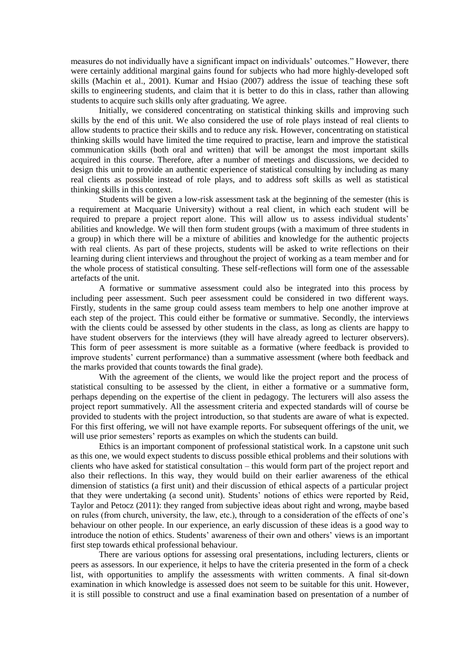measures do not individually have a significant impact on individuals" outcomes." However, there were certainly additional marginal gains found for subjects who had more highly-developed soft skills (Machin et al., 2001). Kumar and Hsiao (2007) address the issue of teaching these soft skills to engineering students, and claim that it is better to do this in class, rather than allowing students to acquire such skills only after graduating. We agree.

Initially, we considered concentrating on statistical thinking skills and improving such skills by the end of this unit. We also considered the use of role plays instead of real clients to allow students to practice their skills and to reduce any risk. However, concentrating on statistical thinking skills would have limited the time required to practise, learn and improve the statistical communication skills (both oral and written) that will be amongst the most important skills acquired in this course. Therefore, after a number of meetings and discussions, we decided to design this unit to provide an authentic experience of statistical consulting by including as many real clients as possible instead of role plays, and to address soft skills as well as statistical thinking skills in this context.

Students will be given a low-risk assessment task at the beginning of the semester (this is a requirement at Macquarie University) without a real client, in which each student will be required to prepare a project report alone. This will allow us to assess individual students' abilities and knowledge. We will then form student groups (with a maximum of three students in a group) in which there will be a mixture of abilities and knowledge for the authentic projects with real clients. As part of these projects, students will be asked to write reflections on their learning during client interviews and throughout the project of working as a team member and for the whole process of statistical consulting. These self-reflections will form one of the assessable artefacts of the unit.

A formative or summative assessment could also be integrated into this process by including peer assessment. Such peer assessment could be considered in two different ways. Firstly, students in the same group could assess team members to help one another improve at each step of the project. This could either be formative or summative. Secondly, the interviews with the clients could be assessed by other students in the class, as long as clients are happy to have student observers for the interviews (they will have already agreed to lecturer observers). This form of peer assessment is more suitable as a formative (where feedback is provided to improve students" current performance) than a summative assessment (where both feedback and the marks provided that counts towards the final grade).

With the agreement of the clients, we would like the project report and the process of statistical consulting to be assessed by the client, in either a formative or a summative form, perhaps depending on the expertise of the client in pedagogy. The lecturers will also assess the project report summatively. All the assessment criteria and expected standards will of course be provided to students with the project introduction, so that students are aware of what is expected. For this first offering, we will not have example reports. For subsequent offerings of the unit, we will use prior semesters' reports as examples on which the students can build.

Ethics is an important component of professional statistical work. In a capstone unit such as this one, we would expect students to discuss possible ethical problems and their solutions with clients who have asked for statistical consultation – this would form part of the project report and also their reflections. In this way, they would build on their earlier awareness of the ethical dimension of statistics (a first unit) and their discussion of ethical aspects of a particular project that they were undertaking (a second unit). Students" notions of ethics were reported by Reid, Taylor and Petocz (2011): they ranged from subjective ideas about right and wrong, maybe based on rules (from church, university, the law, etc.), through to a consideration of the effects of one"s behaviour on other people. In our experience, an early discussion of these ideas is a good way to introduce the notion of ethics. Students' awareness of their own and others' views is an important first step towards ethical professional behaviour.

There are various options for assessing oral presentations, including lecturers, clients or peers as assessors. In our experience, it helps to have the criteria presented in the form of a check list, with opportunities to amplify the assessments with written comments. A final sit-down examination in which knowledge is assessed does not seem to be suitable for this unit. However, it is still possible to construct and use a final examination based on presentation of a number of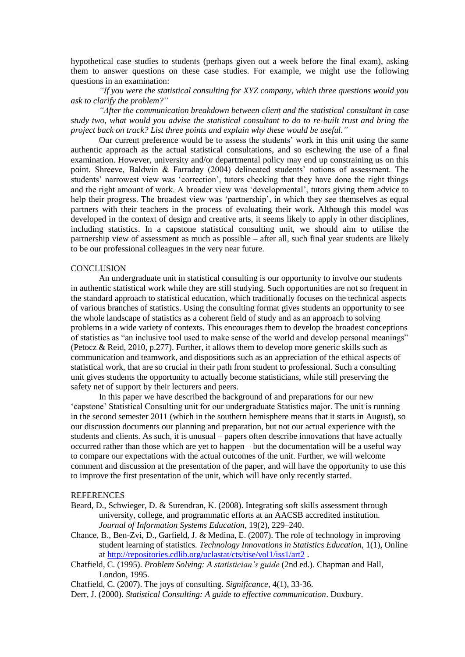hypothetical case studies to students (perhaps given out a week before the final exam), asking them to answer questions on these case studies. For example, we might use the following questions in an examination:

*"If you were the statistical consulting for XYZ company, which three questions would you ask to clarify the problem?"*

*"After the communication breakdown between client and the statistical consultant in case study two, what would you advise the statistical consultant to do to re-built trust and bring the project back on track? List three points and explain why these would be useful."*

Our current preference would be to assess the students" work in this unit using the same authentic approach as the actual statistical consultations, and so eschewing the use of a final examination. However, university and/or departmental policy may end up constraining us on this point. Shreeve, Baldwin & Farraday (2004) delineated students' notions of assessment. The students' narrowest view was 'correction', tutors checking that they have done the right things and the right amount of work. A broader view was 'developmental', tutors giving them advice to help their progress. The broadest view was 'partnership', in which they see themselves as equal partners with their teachers in the process of evaluating their work. Although this model was developed in the context of design and creative arts, it seems likely to apply in other disciplines, including statistics. In a capstone statistical consulting unit, we should aim to utilise the partnership view of assessment as much as possible – after all, such final year students are likely to be our professional colleagues in the very near future.

## **CONCLUSION**

An undergraduate unit in statistical consulting is our opportunity to involve our students in authentic statistical work while they are still studying. Such opportunities are not so frequent in the standard approach to statistical education, which traditionally focuses on the technical aspects of various branches of statistics. Using the consulting format gives students an opportunity to see the whole landscape of statistics as a coherent field of study and as an approach to solving problems in a wide variety of contexts. This encourages them to develop the broadest conceptions of statistics as "an inclusive tool used to make sense of the world and develop personal meanings" (Petocz & Reid, 2010, p.277). Further, it allows them to develop more generic skills such as communication and teamwork, and dispositions such as an appreciation of the ethical aspects of statistical work, that are so crucial in their path from student to professional. Such a consulting unit gives students the opportunity to actually become statisticians, while still preserving the safety net of support by their lecturers and peers.

In this paper we have described the background of and preparations for our new "capstone" Statistical Consulting unit for our undergraduate Statistics major. The unit is running in the second semester 2011 (which in the southern hemisphere means that it starts in August), so our discussion documents our planning and preparation, but not our actual experience with the students and clients. As such, it is unusual – papers often describe innovations that have actually occurred rather than those which are yet to happen – but the documentation will be a useful way to compare our expectations with the actual outcomes of the unit. Further, we will welcome comment and discussion at the presentation of the paper, and will have the opportunity to use this to improve the first presentation of the unit, which will have only recently started.

### **REFERENCES**

- Beard, D., Schwieger, D. & Surendran, K. (2008). Integrating soft skills assessment through university, college, and programmatic efforts at an AACSB accredited institution. *Journal of Information Systems Education*, 19(2), 229–240.
- Chance, B., Ben-Zvi, D., Garfield, J. & Medina, E. (2007). The role of technology in improving student learning of statistics. *Technology Innovations in Statistics Education*, 1(1), Online at<http://repositories.cdlib.org/uclastat/cts/tise/vol1/iss1/art2> .

Chatfield, C. (1995). *Problem Solving: A statistician's guide* (2nd ed.). Chapman and Hall, London, 1995.

Chatfield, C. (2007). The joys of consulting. *Significance*, 4(1), 33-36.

Derr, J. (2000). *Statistical Consulting: A guide to effective communication*. Duxbury.